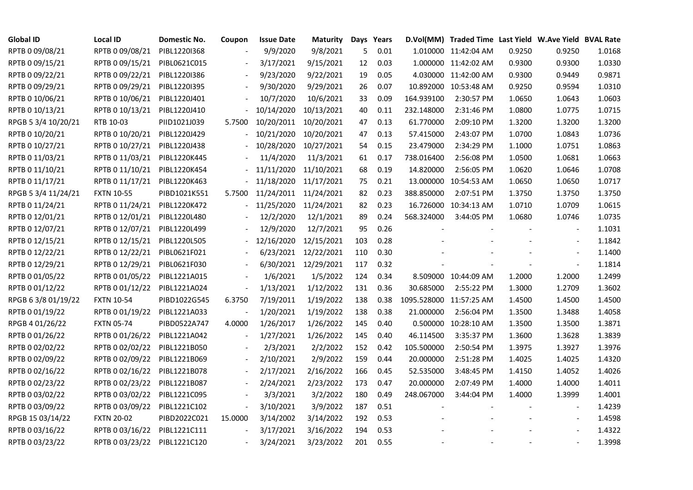| <b>Global ID</b>    | <b>Local ID</b>   | Domestic No. | Coupon                   | <b>Issue Date</b>     | Maturity             |     | Days Years |                         | D.Vol(MM) Traded Time Last Yield W.Ave Yield BVAL Rate |        |                          |        |
|---------------------|-------------------|--------------|--------------------------|-----------------------|----------------------|-----|------------|-------------------------|--------------------------------------------------------|--------|--------------------------|--------|
| RPTB 0 09/08/21     | RPTB 0 09/08/21   | PIBL1220I368 |                          | 9/9/2020              | 9/8/2021             | 5   | 0.01       |                         | 1.010000 11:42:04 AM                                   | 0.9250 | 0.9250                   | 1.0168 |
| RPTB 0 09/15/21     | RPTB 0 09/15/21   | PIBL0621C015 |                          | 3/17/2021             | 9/15/2021            | 12  | 0.03       |                         | 1.000000 11:42:02 AM                                   | 0.9300 | 0.9300                   | 1.0330 |
| RPTB 0 09/22/21     | RPTB 0 09/22/21   | PIBL1220I386 |                          | 9/23/2020             | 9/22/2021            | 19  | 0.05       |                         | 4.030000 11:42:00 AM                                   | 0.9300 | 0.9449                   | 0.9871 |
| RPTB 0 09/29/21     | RPTB 0 09/29/21   | PIBL1220I395 | $\blacksquare$           | 9/30/2020             | 9/29/2021            | 26  | 0.07       |                         | 10.892000 10:53:48 AM                                  | 0.9250 | 0.9594                   | 1.0310 |
| RPTB 0 10/06/21     | RPTB 0 10/06/21   | PIBL1220J401 |                          | 10/7/2020             | 10/6/2021            | 33  | 0.09       | 164.939100              | 2:30:57 PM                                             | 1.0650 | 1.0643                   | 1.0603 |
| RPTB 0 10/13/21     | RPTB 0 10/13/21   | PIBL1220J410 |                          | 10/14/2020            | 10/13/2021           | 40  | 0.11       | 232.148000              | 2:31:46 PM                                             | 1.0800 | 1.0775                   | 1.0715 |
| RPGB 5 3/4 10/20/21 | RTB 10-03         | PIID1021J039 | 5.7500                   | 10/20/2011 10/20/2021 |                      | 47  | 0.13       | 61.770000               | 2:09:10 PM                                             | 1.3200 | 1.3200                   | 1.3200 |
| RPTB 0 10/20/21     | RPTB 0 10/20/21   | PIBL1220J429 |                          | 10/21/2020            | 10/20/2021           | 47  | 0.13       | 57.415000               | 2:43:07 PM                                             | 1.0700 | 1.0843                   | 1.0736 |
| RPTB 0 10/27/21     | RPTB 0 10/27/21   | PIBL1220J438 |                          | 10/28/2020            | 10/27/2021           | 54  | 0.15       | 23.479000               | 2:34:29 PM                                             | 1.1000 | 1.0751                   | 1.0863 |
| RPTB 0 11/03/21     | RPTB 0 11/03/21   | PIBL1220K445 |                          | 11/4/2020             | 11/3/2021            | 61  | 0.17       | 738.016400              | 2:56:08 PM                                             | 1.0500 | 1.0681                   | 1.0663 |
| RPTB 0 11/10/21     | RPTB 0 11/10/21   | PIBL1220K454 |                          | 11/11/2020            | 11/10/2021           | 68  | 0.19       | 14.820000               | 2:56:05 PM                                             | 1.0620 | 1.0646                   | 1.0708 |
| RPTB 0 11/17/21     | RPTB 0 11/17/21   | PIBL1220K463 |                          | 11/18/2020            | 11/17/2021           | 75  | 0.21       | 13.000000               | 10:54:53 AM                                            | 1.0650 | 1.0650                   | 1.0717 |
| RPGB 5 3/4 11/24/21 | <b>FXTN 10-55</b> | PIBD1021K551 | 5.7500                   | 11/24/2011 11/24/2021 |                      | 82  | 0.23       | 388.850000              | 2:07:51 PM                                             | 1.3750 | 1.3750                   | 1.3750 |
| RPTB 0 11/24/21     | RPTB 0 11/24/21   | PIBL1220K472 |                          | 11/25/2020            | 11/24/2021           | 82  | 0.23       |                         | 16.726000 10:34:13 AM                                  | 1.0710 | 1.0709                   | 1.0615 |
| RPTB 0 12/01/21     | RPTB 0 12/01/21   | PIBL1220L480 |                          | 12/2/2020             | 12/1/2021            | 89  | 0.24       | 568.324000              | 3:44:05 PM                                             | 1.0680 | 1.0746                   | 1.0735 |
| RPTB 0 12/07/21     | RPTB 0 12/07/21   | PIBL1220L499 |                          | 12/9/2020             | 12/7/2021            | 95  | 0.26       |                         |                                                        |        |                          | 1.1031 |
| RPTB 0 12/15/21     | RPTB 0 12/15/21   | PIBL1220L505 |                          | 12/16/2020            | 12/15/2021           | 103 | 0.28       |                         |                                                        |        | $\overline{\phantom{a}}$ | 1.1842 |
| RPTB 0 12/22/21     | RPTB 0 12/22/21   | PIBL0621F021 |                          |                       | 6/23/2021 12/22/2021 | 110 | 0.30       |                         |                                                        |        | $\overline{a}$           | 1.1400 |
| RPTB 0 12/29/21     | RPTB 0 12/29/21   | PIBL0621F030 |                          |                       | 6/30/2021 12/29/2021 | 117 | 0.32       |                         |                                                        |        | $\blacksquare$           | 1.1814 |
| RPTB 0 01/05/22     | RPTB 0 01/05/22   | PIBL1221A015 |                          | 1/6/2021              | 1/5/2022             | 124 | 0.34       |                         | 8.509000 10:44:09 AM                                   | 1.2000 | 1.2000                   | 1.2499 |
| RPTB 0 01/12/22     | RPTB 0 01/12/22   | PIBL1221A024 | $\blacksquare$           | 1/13/2021             | 1/12/2022            | 131 | 0.36       | 30.685000               | 2:55:22 PM                                             | 1.3000 | 1.2709                   | 1.3602 |
| RPGB 63/8 01/19/22  | <b>FXTN 10-54</b> | PIBD1022G545 | 6.3750                   | 7/19/2011             | 1/19/2022            | 138 | 0.38       | 1095.528000 11:57:25 AM |                                                        | 1.4500 | 1.4500                   | 1.4500 |
| RPTB 0 01/19/22     | RPTB 0 01/19/22   | PIBL1221A033 |                          | 1/20/2021             | 1/19/2022            | 138 | 0.38       | 21.000000               | 2:56:04 PM                                             | 1.3500 | 1.3488                   | 1.4058 |
| RPGB 4 01/26/22     | <b>FXTN 05-74</b> | PIBD0522A747 | 4.0000                   | 1/26/2017             | 1/26/2022            | 145 | 0.40       |                         | 0.500000 10:28:10 AM                                   | 1.3500 | 1.3500                   | 1.3871 |
| RPTB 0 01/26/22     | RPTB 0 01/26/22   | PIBL1221A042 | $\overline{\phantom{a}}$ | 1/27/2021             | 1/26/2022            | 145 | 0.40       | 46.114500               | 3:35:37 PM                                             | 1.3600 | 1.3628                   | 1.3839 |
| RPTB 0 02/02/22     | RPTB 0 02/02/22   | PIBL1221B050 |                          | 2/3/2021              | 2/2/2022             | 152 | 0.42       | 105.500000              | 2:50:54 PM                                             | 1.3975 | 1.3927                   | 1.3976 |
| RPTB 0 02/09/22     | RPTB 0 02/09/22   | PIBL1221B069 | $\overline{\phantom{a}}$ | 2/10/2021             | 2/9/2022             | 159 | 0.44       | 20.000000               | 2:51:28 PM                                             | 1.4025 | 1.4025                   | 1.4320 |
| RPTB 0 02/16/22     | RPTB 0 02/16/22   | PIBL1221B078 |                          | 2/17/2021             | 2/16/2022            | 166 | 0.45       | 52.535000               | 3:48:45 PM                                             | 1.4150 | 1.4052                   | 1.4026 |
| RPTB 0 02/23/22     | RPTB 0 02/23/22   | PIBL1221B087 |                          | 2/24/2021             | 2/23/2022            | 173 | 0.47       | 20.000000               | 2:07:49 PM                                             | 1.4000 | 1.4000                   | 1.4011 |
| RPTB 0 03/02/22     | RPTB 0 03/02/22   | PIBL1221C095 |                          | 3/3/2021              | 3/2/2022             | 180 | 0.49       | 248.067000              | 3:44:04 PM                                             | 1.4000 | 1.3999                   | 1.4001 |
| RPTB 0 03/09/22     | RPTB 0 03/09/22   | PIBL1221C102 | $\overline{\phantom{a}}$ | 3/10/2021             | 3/9/2022             | 187 | 0.51       |                         |                                                        |        |                          | 1.4239 |
| RPGB 15 03/14/22    | <b>FXTN 20-02</b> | PIBD2022C021 | 15.0000                  | 3/14/2002             | 3/14/2022            | 192 | 0.53       |                         |                                                        |        | $\overline{\phantom{a}}$ | 1.4598 |
| RPTB 0 03/16/22     | RPTB 0 03/16/22   | PIBL1221C111 |                          | 3/17/2021             | 3/16/2022            | 194 | 0.53       |                         |                                                        |        |                          | 1.4322 |
| RPTB 0 03/23/22     | RPTB 0 03/23/22   | PIBL1221C120 |                          | 3/24/2021             | 3/23/2022            | 201 | 0.55       |                         |                                                        |        | $\blacksquare$           | 1.3998 |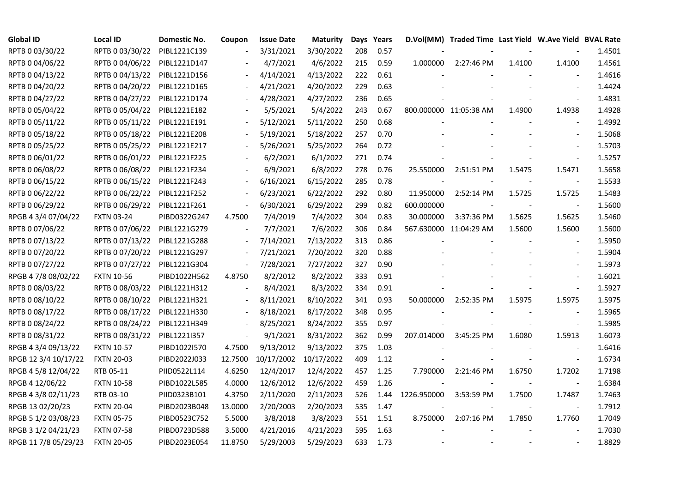| <b>Global ID</b>     | <b>Local ID</b>   | Domestic No. | Coupon                   | <b>Issue Date</b>     | <b>Maturity</b> |     | Days Years |             | D.Vol(MM) Traded Time Last Yield W.Ave Yield BVAL Rate |        |                          |        |
|----------------------|-------------------|--------------|--------------------------|-----------------------|-----------------|-----|------------|-------------|--------------------------------------------------------|--------|--------------------------|--------|
| RPTB 0 03/30/22      | RPTB 0 03/30/22   | PIBL1221C139 |                          | 3/31/2021             | 3/30/2022       | 208 | 0.57       |             |                                                        |        |                          | 1.4501 |
| RPTB 0 04/06/22      | RPTB 0 04/06/22   | PIBL1221D147 |                          | 4/7/2021              | 4/6/2022        | 215 | 0.59       | 1.000000    | 2:27:46 PM                                             | 1.4100 | 1.4100                   | 1.4561 |
| RPTB 0 04/13/22      | RPTB 0 04/13/22   | PIBL1221D156 |                          | 4/14/2021             | 4/13/2022       | 222 | 0.61       |             |                                                        |        |                          | 1.4616 |
| RPTB 0 04/20/22      | RPTB 0 04/20/22   | PIBL1221D165 | $\blacksquare$           | 4/21/2021             | 4/20/2022       | 229 | 0.63       |             |                                                        |        | $\overline{a}$           | 1.4424 |
| RPTB 0 04/27/22      | RPTB 0 04/27/22   | PIBL1221D174 |                          | 4/28/2021             | 4/27/2022       | 236 | 0.65       |             |                                                        |        |                          | 1.4831 |
| RPTB 0 05/04/22      | RPTB 0 05/04/22   | PIBL1221E182 |                          | 5/5/2021              | 5/4/2022        | 243 | 0.67       |             | 800.000000 11:05:38 AM                                 | 1.4900 | 1.4938                   | 1.4928 |
| RPTB 0 05/11/22      | RPTB 0 05/11/22   | PIBL1221E191 |                          | 5/12/2021             | 5/11/2022       | 250 | 0.68       |             |                                                        |        | $\overline{\phantom{a}}$ | 1.4992 |
| RPTB 0 05/18/22      | RPTB 0 05/18/22   | PIBL1221E208 |                          | 5/19/2021             | 5/18/2022       | 257 | 0.70       |             |                                                        |        | $\overline{\phantom{a}}$ | 1.5068 |
| RPTB 0 05/25/22      | RPTB 0 05/25/22   | PIBL1221E217 |                          | 5/26/2021             | 5/25/2022       | 264 | 0.72       |             |                                                        |        |                          | 1.5703 |
| RPTB 0 06/01/22      | RPTB 0 06/01/22   | PIBL1221F225 |                          | 6/2/2021              | 6/1/2022        | 271 | 0.74       |             |                                                        |        | $\overline{\phantom{a}}$ | 1.5257 |
| RPTB 0 06/08/22      | RPTB 0 06/08/22   | PIBL1221F234 | $\blacksquare$           | 6/9/2021              | 6/8/2022        | 278 | 0.76       | 25.550000   | 2:51:51 PM                                             | 1.5475 | 1.5471                   | 1.5658 |
| RPTB 0 06/15/22      | RPTB 0 06/15/22   | PIBL1221F243 | $\overline{\phantom{a}}$ | 6/16/2021             | 6/15/2022       | 285 | 0.78       |             |                                                        |        | $\overline{\phantom{a}}$ | 1.5533 |
| RPTB 0 06/22/22      | RPTB 0 06/22/22   | PIBL1221F252 | $\overline{\phantom{a}}$ | 6/23/2021             | 6/22/2022       | 292 | 0.80       | 11.950000   | 2:52:14 PM                                             | 1.5725 | 1.5725                   | 1.5483 |
| RPTB 0 06/29/22      | RPTB 0 06/29/22   | PIBL1221F261 | $\overline{\phantom{a}}$ | 6/30/2021             | 6/29/2022       | 299 | 0.82       | 600.000000  |                                                        |        | $\overline{\phantom{a}}$ | 1.5600 |
| RPGB 4 3/4 07/04/22  | <b>FXTN 03-24</b> | PIBD0322G247 | 4.7500                   | 7/4/2019              | 7/4/2022        | 304 | 0.83       | 30.000000   | 3:37:36 PM                                             | 1.5625 | 1.5625                   | 1.5460 |
| RPTB 0 07/06/22      | RPTB 0 07/06/22   | PIBL1221G279 |                          | 7/7/2021              | 7/6/2022        | 306 | 0.84       |             | 567.630000 11:04:29 AM                                 | 1.5600 | 1.5600                   | 1.5600 |
| RPTB 0 07/13/22      | RPTB 0 07/13/22   | PIBL1221G288 | $\overline{\phantom{a}}$ | 7/14/2021             | 7/13/2022       | 313 | 0.86       |             |                                                        |        |                          | 1.5950 |
| RPTB 0 07/20/22      | RPTB 0 07/20/22   | PIBL1221G297 | $\blacksquare$           | 7/21/2021             | 7/20/2022       | 320 | 0.88       |             |                                                        |        | $\overline{\phantom{a}}$ | 1.5904 |
| RPTB 0 07/27/22      | RPTB 0 07/27/22   | PIBL1221G304 | $\blacksquare$           | 7/28/2021             | 7/27/2022       | 327 | 0.90       |             |                                                        |        | $\blacksquare$           | 1.5973 |
| RPGB 4 7/8 08/02/22  | <b>FXTN 10-56</b> | PIBD1022H562 | 4.8750                   | 8/2/2012              | 8/2/2022        | 333 | 0.91       |             |                                                        |        | $\blacksquare$           | 1.6021 |
| RPTB 0 08/03/22      | RPTB 0 08/03/22   | PIBL1221H312 | $\overline{\phantom{a}}$ | 8/4/2021              | 8/3/2022        | 334 | 0.91       |             |                                                        |        | $\blacksquare$           | 1.5927 |
| RPTB 0 08/10/22      | RPTB 0 08/10/22   | PIBL1221H321 | $\overline{\phantom{a}}$ | 8/11/2021             | 8/10/2022       | 341 | 0.93       | 50.000000   | 2:52:35 PM                                             | 1.5975 | 1.5975                   | 1.5975 |
| RPTB 0 08/17/22      | RPTB 0 08/17/22   | PIBL1221H330 |                          | 8/18/2021             | 8/17/2022       | 348 | 0.95       |             |                                                        |        |                          | 1.5965 |
| RPTB 0 08/24/22      | RPTB 0 08/24/22   | PIBL1221H349 | $\overline{\phantom{a}}$ | 8/25/2021             | 8/24/2022       | 355 | 0.97       |             |                                                        |        | $\overline{\phantom{a}}$ | 1.5985 |
| RPTB 0 08/31/22      | RPTB 0 08/31/22   | PIBL1221I357 | $\overline{\phantom{a}}$ | 9/1/2021              | 8/31/2022       | 362 | 0.99       | 207.014000  | 3:45:25 PM                                             | 1.6080 | 1.5913                   | 1.6073 |
| RPGB 4 3/4 09/13/22  | <b>FXTN 10-57</b> | PIBD1022I570 | 4.7500                   | 9/13/2012             | 9/13/2022       | 375 | 1.03       |             |                                                        |        |                          | 1.6416 |
| RPGB 12 3/4 10/17/22 | <b>FXTN 20-03</b> | PIBD2022J033 | 12.7500                  | 10/17/2002 10/17/2022 |                 | 409 | 1.12       |             |                                                        |        | $\blacksquare$           | 1.6734 |
| RPGB 4 5/8 12/04/22  | RTB 05-11         | PIID0522L114 | 4.6250                   | 12/4/2017             | 12/4/2022       | 457 | 1.25       | 7.790000    | 2:21:46 PM                                             | 1.6750 | 1.7202                   | 1.7198 |
| RPGB 4 12/06/22      | <b>FXTN 10-58</b> | PIBD1022L585 | 4.0000                   | 12/6/2012             | 12/6/2022       | 459 | 1.26       |             |                                                        |        | $\overline{\phantom{a}}$ | 1.6384 |
| RPGB 4 3/8 02/11/23  | RTB 03-10         | PIID0323B101 | 4.3750                   | 2/11/2020             | 2/11/2023       | 526 | 1.44       | 1226.950000 | 3:53:59 PM                                             | 1.7500 | 1.7487                   | 1.7463 |
| RPGB 13 02/20/23     | <b>FXTN 20-04</b> | PIBD2023B048 | 13.0000                  | 2/20/2003             | 2/20/2023       | 535 | 1.47       |             |                                                        |        | $\sim$                   | 1.7912 |
| RPGB 5 1/2 03/08/23  | <b>FXTN 05-75</b> | PIBD0523C752 | 5.5000                   | 3/8/2018              | 3/8/2023        | 551 | 1.51       | 8.750000    | 2:07:16 PM                                             | 1.7850 | 1.7760                   | 1.7049 |
| RPGB 3 1/2 04/21/23  | <b>FXTN 07-58</b> | PIBD0723D588 | 3.5000                   | 4/21/2016             | 4/21/2023       | 595 | 1.63       |             |                                                        |        |                          | 1.7030 |
| RPGB 11 7/8 05/29/23 | <b>FXTN 20-05</b> | PIBD2023E054 | 11.8750                  | 5/29/2003             | 5/29/2023       | 633 | 1.73       |             |                                                        |        | $\blacksquare$           | 1.8829 |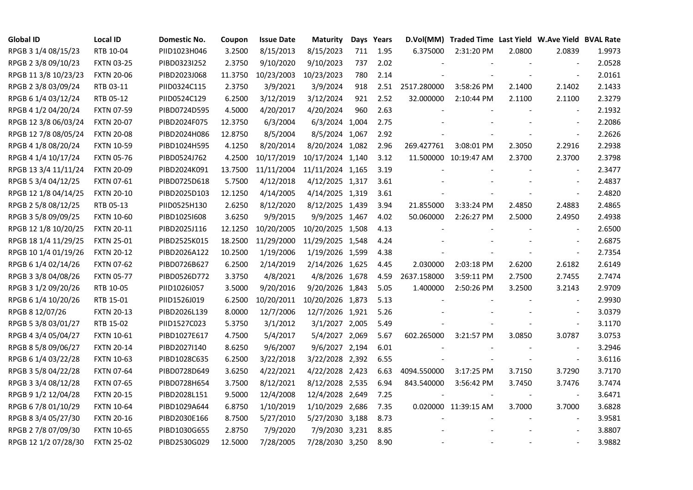| <b>Global ID</b>     | <b>Local ID</b>   | Domestic No. | Coupon  | <b>Issue Date</b> | <b>Maturity</b>  |     | Days Years |                  | D.Vol(MM) Traded Time Last Yield W.Ave Yield BVAL Rate |                |                          |        |
|----------------------|-------------------|--------------|---------|-------------------|------------------|-----|------------|------------------|--------------------------------------------------------|----------------|--------------------------|--------|
| RPGB 3 1/4 08/15/23  | RTB 10-04         | PIID1023H046 | 3.2500  | 8/15/2013         | 8/15/2023        | 711 | 1.95       | 6.375000         | 2:31:20 PM                                             | 2.0800         | 2.0839                   | 1.9973 |
| RPGB 2 3/8 09/10/23  | <b>FXTN 03-25</b> | PIBD0323I252 | 2.3750  | 9/10/2020         | 9/10/2023        | 737 | 2.02       |                  |                                                        |                |                          | 2.0528 |
| RPGB 11 3/8 10/23/23 | <b>FXTN 20-06</b> | PIBD2023J068 | 11.3750 | 10/23/2003        | 10/23/2023       | 780 | 2.14       |                  |                                                        |                | $\blacksquare$           | 2.0161 |
| RPGB 2 3/8 03/09/24  | RTB 03-11         | PIID0324C115 | 2.3750  | 3/9/2021          | 3/9/2024         | 918 |            | 2.51 2517.280000 | 3:58:26 PM                                             | 2.1400         | 2.1402                   | 2.1433 |
| RPGB 6 1/4 03/12/24  | RTB 05-12         | PIID0524C129 | 6.2500  | 3/12/2019         | 3/12/2024        | 921 | 2.52       | 32.000000        | 2:10:44 PM                                             | 2.1100         | 2.1100                   | 2.3279 |
| RPGB 4 1/2 04/20/24  | <b>FXTN 07-59</b> | PIBD0724D595 | 4.5000  | 4/20/2017         | 4/20/2024        | 960 | 2.63       |                  |                                                        |                | $\blacksquare$           | 2.1932 |
| RPGB 12 3/8 06/03/24 | <b>FXTN 20-07</b> | PIBD2024F075 | 12.3750 | 6/3/2004          | 6/3/2024 1,004   |     | 2.75       |                  |                                                        |                | $\blacksquare$           | 2.2086 |
| RPGB 12 7/8 08/05/24 | <b>FXTN 20-08</b> | PIBD2024H086 | 12.8750 | 8/5/2004          | 8/5/2024 1,067   |     | 2.92       |                  |                                                        |                | $\blacksquare$           | 2.2626 |
| RPGB 4 1/8 08/20/24  | <b>FXTN 10-59</b> | PIBD1024H595 | 4.1250  | 8/20/2014         | 8/20/2024 1,082  |     | 2.96       | 269.427761       | 3:08:01 PM                                             | 2.3050         | 2.2916                   | 2.2938 |
| RPGB 4 1/4 10/17/24  | <b>FXTN 05-76</b> | PIBD0524J762 | 4.2500  | 10/17/2019        | 10/17/2024 1,140 |     | 3.12       |                  | 11.500000 10:19:47 AM                                  | 2.3700         | 2.3700                   | 2.3798 |
| RPGB 13 3/4 11/11/24 | <b>FXTN 20-09</b> | PIBD2024K091 | 13.7500 | 11/11/2004        | 11/11/2024 1,165 |     | 3.19       |                  |                                                        |                | $\blacksquare$           | 2.3477 |
| RPGB 5 3/4 04/12/25  | FXTN 07-61        | PIBD0725D618 | 5.7500  | 4/12/2018         | 4/12/2025 1,317  |     | 3.61       |                  |                                                        |                | $\blacksquare$           | 2.4837 |
| RPGB 12 1/8 04/14/25 | <b>FXTN 20-10</b> | PIBD2025D103 | 12.1250 | 4/14/2005         | 4/14/2025 1,319  |     | 3.61       |                  |                                                        |                | $\omega$                 | 2.4820 |
| RPGB 2 5/8 08/12/25  | RTB 05-13         | PIID0525H130 | 2.6250  | 8/12/2020         | 8/12/2025 1,439  |     | 3.94       | 21.855000        | 3:33:24 PM                                             | 2.4850         | 2.4883                   | 2.4865 |
| RPGB 3 5/8 09/09/25  | <b>FXTN 10-60</b> | PIBD10251608 | 3.6250  | 9/9/2015          | 9/9/2025 1,467   |     | 4.02       | 50.060000        | 2:26:27 PM                                             | 2.5000         | 2.4950                   | 2.4938 |
| RPGB 12 1/8 10/20/25 | <b>FXTN 20-11</b> | PIBD2025J116 | 12.1250 | 10/20/2005        | 10/20/2025 1,508 |     | 4.13       |                  |                                                        |                |                          | 2.6500 |
| RPGB 18 1/4 11/29/25 | <b>FXTN 25-01</b> | PIBD2525K015 | 18.2500 | 11/29/2000        | 11/29/2025 1,548 |     | 4.24       |                  |                                                        |                | $\overline{\phantom{a}}$ | 2.6875 |
| RPGB 10 1/4 01/19/26 | <b>FXTN 20-12</b> | PIBD2026A122 | 10.2500 | 1/19/2006         | 1/19/2026 1,599  |     | 4.38       |                  |                                                        |                | $\blacksquare$           | 2.7354 |
| RPGB 6 1/4 02/14/26  | <b>FXTN 07-62</b> | PIBD0726B627 | 6.2500  | 2/14/2019         | 2/14/2026 1,625  |     | 4.45       | 2.030000         | 2:03:18 PM                                             | 2.6200         | 2.6182                   | 2.6149 |
| RPGB 3 3/8 04/08/26  | <b>FXTN 05-77</b> | PIBD0526D772 | 3.3750  | 4/8/2021          | 4/8/2026 1,678   |     | 4.59       | 2637.158000      | 3:59:11 PM                                             | 2.7500         | 2.7455                   | 2.7474 |
| RPGB 3 1/2 09/20/26  | RTB 10-05         | PIID1026I057 | 3.5000  | 9/20/2016         | 9/20/2026 1,843  |     | 5.05       | 1.400000         | 2:50:26 PM                                             | 3.2500         | 3.2143                   | 2.9709 |
| RPGB 6 1/4 10/20/26  | RTB 15-01         | PIID1526J019 | 6.2500  | 10/20/2011        | 10/20/2026 1,873 |     | 5.13       |                  |                                                        |                | $\sim$                   | 2.9930 |
| RPGB 8 12/07/26      | <b>FXTN 20-13</b> | PIBD2026L139 | 8.0000  | 12/7/2006         | 12/7/2026 1,921  |     | 5.26       |                  |                                                        |                |                          | 3.0379 |
| RPGB 5 3/8 03/01/27  | RTB 15-02         | PIID1527C023 | 5.3750  | 3/1/2012          | 3/1/2027 2,005   |     | 5.49       |                  |                                                        |                | $\overline{\phantom{a}}$ | 3.1170 |
| RPGB 4 3/4 05/04/27  | <b>FXTN 10-61</b> | PIBD1027E617 | 4.7500  | 5/4/2017          | 5/4/2027 2,069   |     | 5.67       | 602.265000       | 3:21:57 PM                                             | 3.0850         | 3.0787                   | 3.0753 |
| RPGB 8 5/8 09/06/27  | <b>FXTN 20-14</b> | PIBD2027I140 | 8.6250  | 9/6/2007          | 9/6/2027 2,194   |     | 6.01       |                  |                                                        |                | $\blacksquare$           | 3.2946 |
| RPGB 6 1/4 03/22/28  | <b>FXTN 10-63</b> | PIBD1028C635 | 6.2500  | 3/22/2018         | 3/22/2028 2,392  |     | 6.55       |                  |                                                        |                | $\blacksquare$           | 3.6116 |
| RPGB 3 5/8 04/22/28  | <b>FXTN 07-64</b> | PIBD0728D649 | 3.6250  | 4/22/2021         | 4/22/2028 2,423  |     | 6.63       | 4094.550000      | 3:17:25 PM                                             | 3.7150         | 3.7290                   | 3.7170 |
| RPGB 3 3/4 08/12/28  | <b>FXTN 07-65</b> | PIBD0728H654 | 3.7500  | 8/12/2021         | 8/12/2028 2,535  |     | 6.94       | 843.540000       | 3:56:42 PM                                             | 3.7450         | 3.7476                   | 3.7474 |
| RPGB 9 1/2 12/04/28  | <b>FXTN 20-15</b> | PIBD2028L151 | 9.5000  | 12/4/2008         | 12/4/2028 2,649  |     | 7.25       |                  |                                                        |                |                          | 3.6471 |
| RPGB 67/8 01/10/29   | <b>FXTN 10-64</b> | PIBD1029A644 | 6.8750  | 1/10/2019         | 1/10/2029 2,686  |     | 7.35       |                  | 0.020000 11:39:15 AM                                   | 3.7000         | 3.7000                   | 3.6828 |
| RPGB 8 3/4 05/27/30  | <b>FXTN 20-16</b> | PIBD2030E166 | 8.7500  | 5/27/2010         | 5/27/2030 3,188  |     | 8.73       |                  |                                                        |                | $\blacksquare$           | 3.9581 |
| RPGB 2 7/8 07/09/30  | <b>FXTN 10-65</b> | PIBD1030G655 | 2.8750  | 7/9/2020          | 7/9/2030 3,231   |     | 8.85       |                  |                                                        |                |                          | 3.8807 |
| RPGB 12 1/2 07/28/30 | <b>FXTN 25-02</b> | PIBD2530G029 | 12.5000 | 7/28/2005         | 7/28/2030 3,250  |     | 8.90       |                  |                                                        | $\blacksquare$ | $\sim$                   | 3.9882 |